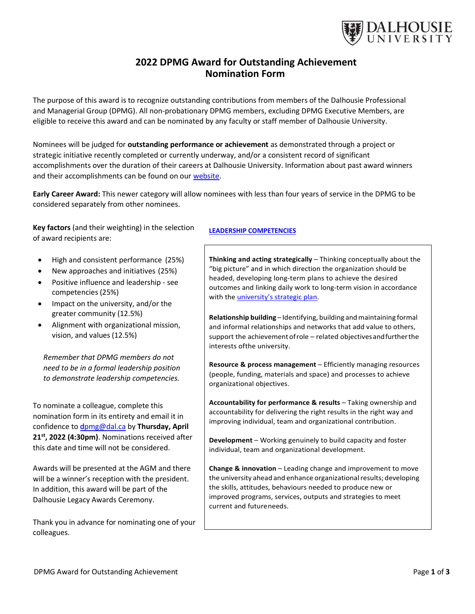

# 2022 DPMG Award for Outstanding Achievement Nomination Form

The purpose of this award is to recognize outstanding contributions from members of the Dalhousie Professional and Managerial Group (DPMG). All non-probationary DPMG members, excluding DPMG Executive Members, are eligible to receive this award and can be nominated by any faculty or staff member of Dalhousie University.

Nominees will be judged for outstanding performance or achievement as demonstrated through a project or strategic initiative recently completed or currently underway, and/or a consistent record of significant accomplishments over the duration of their careers at Dalhousie University. Information about past award winners and their accomplishments can be found on our website.

Early Career Award: This newer category will allow nominees with less than four years of service in the DPMG to be considered separately from other nominees.

Key factors (and their weighting) in the selection of award recipients are:

- High and consistent performance (25%)
- New approaches and initiatives (25%)
- Positive influence and leadership see competencies (25%)
- Impact on the university, and/or the greater community (12.5%)
- Alignment with organizational mission, vision, and values (12.5%)

Remember that DPMG members do not need to be in a formal leadership position to demonstrate leadership competencies.

To nominate a colleague, complete this nomination form in its entirety and email it in confidence to dpmg@dal.ca by Thursday, April 21<sup>st</sup>, 2022 (4:30pm). Nominations received after this date and time will not be considered.

Awards will be presented at the AGM and there will be a winner's reception with the president. In addition, this award will be part of the Dalhousie Legacy Awards Ceremony.

Thank you in advance for nominating one of your colleagues.

#### LEADERSHIP COMPETENCIES

Thinking and acting strategically – Thinking conceptually about the "big picture" and in which direction the organization should be headed, developing long-term plans to achieve the desired outcomes and linking daily work to long-term vision in accordance with the *university's strategic plan*.

Relationship building – Identifying, building and maintaining formal and informal relationships and networks that add value to others, support the achievement of role – related objectives and further the interests of the university.

Resource & process management – Efficiently managing resources (people, funding, materials and space) and processes to achieve organizational objectives.

Accountability for performance & results – Taking ownership and accountability for delivering the right results in the right way and improving individual, team and organizational contribution.

Development – Working genuinely to build capacity and foster individual, team and organizational development.

Change & innovation – Leading change and improvement to move the university ahead and enhance organizational results; developing the skills, attitudes, behaviours needed to produce new or improved programs, services, outputs and strategies to meet current and future needs.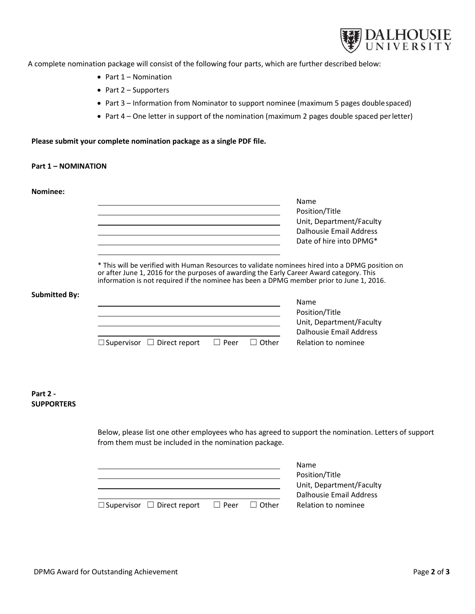

A complete nomination package will consist of the following four parts, which are further described below:

- $\bullet$  Part 1 Nomination
- $\bullet$  Part 2 Supporters
- Part 3 Information from Nominator to support nominee (maximum 5 pages double spaced)
- Part 4 One letter in support of the nomination (maximum 2 pages double spaced per letter)

# Please submit your complete nomination package as a single PDF file.

## Part 1 – NOMINATION

| Nominee:                      |                                                                                                                                                                                                                                                                                         |                                            |  |  |  |
|-------------------------------|-----------------------------------------------------------------------------------------------------------------------------------------------------------------------------------------------------------------------------------------------------------------------------------------|--------------------------------------------|--|--|--|
|                               |                                                                                                                                                                                                                                                                                         | Name                                       |  |  |  |
|                               |                                                                                                                                                                                                                                                                                         | Position/Title<br>Unit, Department/Faculty |  |  |  |
|                               |                                                                                                                                                                                                                                                                                         | <b>Dalhousie Email Address</b>             |  |  |  |
|                               | the contract of the contract of the contract of the contract of the contract of                                                                                                                                                                                                         | Date of hire into DPMG*                    |  |  |  |
|                               |                                                                                                                                                                                                                                                                                         |                                            |  |  |  |
|                               | * This will be verified with Human Resources to validate nominees hired into a DPMG position on<br>or after June 1, 2016 for the purposes of awarding the Early Career Award category. This<br>information is not required if the nominee has been a DPMG member prior to June 1, 2016. |                                            |  |  |  |
| <b>Submitted By:</b>          |                                                                                                                                                                                                                                                                                         |                                            |  |  |  |
|                               | the contract of the contract of the contract of the contract of the contract of the contract of                                                                                                                                                                                         | Name<br>Position/Title                     |  |  |  |
|                               | <u> 1980 - Johann Barbara, martxa eta politikar</u>                                                                                                                                                                                                                                     | Unit, Department/Faculty                   |  |  |  |
|                               | <u> 1989 - Johann Stein, marwolaethau a bhann an t-Albann an t-Albann an t-Albann an t-Albann an t-Albann an t-Alb</u>                                                                                                                                                                  | Dalhousie Email Address                    |  |  |  |
|                               | $\Box$ Supervisor $\Box$ Direct report<br>$\Box$ Peer<br>$\Box$ Other                                                                                                                                                                                                                   | Relation to nominee                        |  |  |  |
|                               |                                                                                                                                                                                                                                                                                         |                                            |  |  |  |
| Part 2 -<br><b>SUPPORTERS</b> |                                                                                                                                                                                                                                                                                         |                                            |  |  |  |
|                               | Below, please list one other employees who has agreed to support the nomination. Letters of support<br>from them must be included in the nomination package.                                                                                                                            |                                            |  |  |  |
|                               |                                                                                                                                                                                                                                                                                         | Name                                       |  |  |  |

|                                        |             |              | Name                     |  |  |
|----------------------------------------|-------------|--------------|--------------------------|--|--|
|                                        |             |              | Position/Title           |  |  |
|                                        |             |              | Unit, Department/Faculty |  |  |
|                                        |             |              | Dalhousie Email Address  |  |  |
| $\Box$ Supervisor $\Box$ Direct report | $\Box$ Peer | $\Box$ Other | Relation to nominee      |  |  |